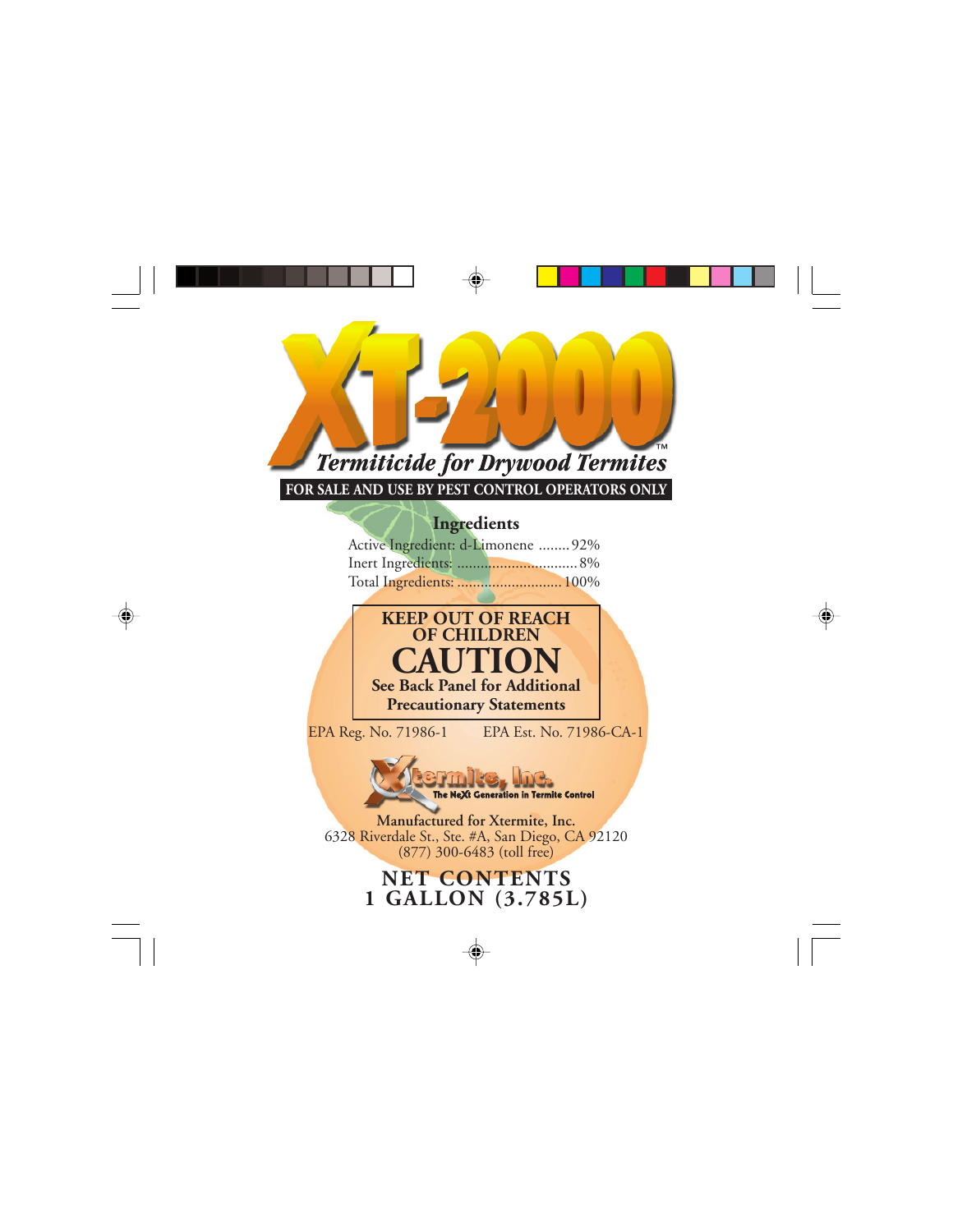